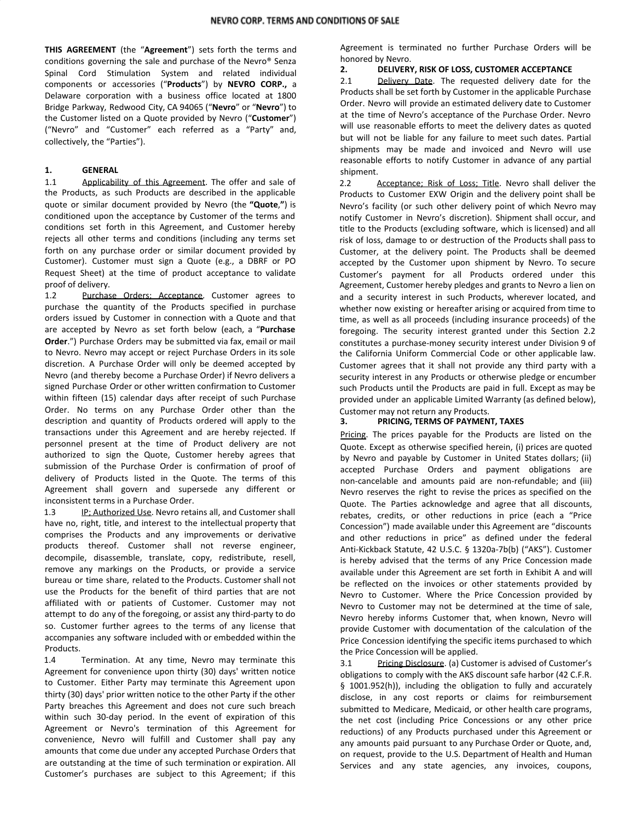**THIS AGREEMENT** (the "**Agreement**") sets forth the terms and conditions governing the sale and purchase of the Nevro® Senza Spinal Cord Stimulation System and related individual components or accessories ("**Products**") by **NEVRO CORP.,** a Delaware corporation with a business office located at 1800 Bridge Parkway, Redwood City, CA 94065 ("**Nevro**" or "**Nevro**") to the Customer listed on a Quote provided by Nevro ("**Customer**") ("Nevro" and "Customer" each referred as a "Party" and, collectively, the "Parties").

## **1. GENERAL**

1.1 Applicability of this Agreement. The offer and sale of the Products, as such Products are described in the applicable quote or similar document provided by Nevro (the **"Quote**,**"**) is conditioned upon the acceptance by Customer of the terms and conditions set forth in this Agreement, and Customer hereby rejects all other terms and conditions (including any terms set forth on any purchase order or similar document provided by Customer). Customer must sign a Quote (e.g., a DBRF or PO Request Sheet) at the time of product acceptance to validate proof of delivery.

1.2 Purchase Orders; Acceptance. Customer agrees to purchase the quantity of the Products specified in purchase orders issued by Customer in connection with a Quote and that are accepted by Nevro as set forth below (each, a "**Purchase Order**.") Purchase Orders may be submitted via fax, email or mail to Nevro. Nevro may accept or reject Purchase Orders in its sole discretion. A Purchase Order will only be deemed accepted by Nevro (and thereby become a Purchase Order) if Nevro delivers a signed Purchase Order or other written confirmation to Customer within fifteen (15) calendar days after receipt of such Purchase Order. No terms on any Purchase Order other than the description and quantity of Products ordered will apply to the transactions under this Agreement and are hereby rejected. If personnel present at the time of Product delivery are not authorized to sign the Quote, Customer hereby agrees that submission of the Purchase Order is confirmation of proof of delivery of Products listed in the Quote. The terms of this Agreement shall govern and supersede any different or inconsistent terms in a Purchase Order.

1.3 IP: Authorized Use. Nevro retains all, and Customer shall have no, right, title, and interest to the intellectual property that comprises the Products and any improvements or derivative products thereof. Customer shall not reverse engineer, decompile, disassemble, translate, copy, redistribute, resell, remove any markings on the Products, or provide a service bureau or time share, related to the Products. Customer shall not use the Products for the benefit of third parties that are not affiliated with or patients of Customer. Customer may not attempt to do any of the foregoing, or assist any third-party to do so. Customer further agrees to the terms of any license that accompanies any software included with or embedded within the Products.

1.4 Termination. At any time, Nevro may terminate this Agreement for convenience upon thirty (30) days' written notice to Customer. Either Party may terminate this Agreement upon thirty (30) days' prior written notice to the other Party if the other Party breaches this Agreement and does not cure such breach within such 30-day period. In the event of expiration of this Agreement or Nevro's termination of this Agreement for convenience, Nevro will fulfill and Customer shall pay any amounts that come due under any accepted Purchase Orders that are outstanding at the time of such termination or expiration. All Customer's purchases are subject to this Agreement; if this

Agreement is terminated no further Purchase Orders will be honored by Nevro.

## **2. DELIVERY, RISK OF LOSS, CUSTOMER ACCEPTANCE**

2.1 Delivery Date. The requested delivery date for the Products shall be set forth by Customer in the applicable Purchase Order. Nevro will provide an estimated delivery date to Customer at the time of Nevro's acceptance of the Purchase Order. Nevro will use reasonable efforts to meet the delivery dates as quoted but will not be liable for any failure to meet such dates. Partial shipments may be made and invoiced and Nevro will use reasonable efforts to notify Customer in advance of any partial shipment.

2.2 Acceptance; Risk of Loss; Title. Nevro shall deliver the Products to Customer EXW Origin and the delivery point shall be Nevro's facility (or such other delivery point of which Nevro may notify Customer in Nevro's discretion). Shipment shall occur, and title to the Products (excluding software, which is licensed) and all risk of loss, damage to or destruction of the Products shall pass to Customer, at the delivery point. The Products shall be deemed accepted by the Customer upon shipment by Nevro. To secure Customer's payment for all Products ordered under this Agreement, Customer hereby pledges and grants to Nevro a lien on and a security interest in such Products, wherever located, and whether now existing or hereafter arising or acquired from time to time, as well as all proceeds (including insurance proceeds) of the foregoing. The security interest granted under this Section 2.2 constitutes a purchase-money security interest under Division 9 of the California Uniform Commercial Code or other applicable law. Customer agrees that it shall not provide any third party with a security interest in any Products or otherwise pledge or encumber such Products until the Products are paid in full. Except as may be provided under an applicable Limited Warranty (as defined below), Customer may not return any Products.

## **3. PRICING, TERMS OF PAYMENT, TAXES**

Pricing. The prices payable for the Products are listed on the Quote. Except as otherwise specified herein, (i) prices are quoted by Nevro and payable by Customer in United States dollars; (ii) accepted Purchase Orders and payment obligations are non-cancelable and amounts paid are non-refundable; and (iii) Nevro reserves the right to revise the prices as specified on the Quote. The Parties acknowledge and agree that all discounts, rebates, credits, or other reductions in price (each a "Price Concession") made available under this Agreement are "discounts and other reductions in price" as defined under the federal Anti-Kickback Statute, 42 U.S.C. § 1320a-7b(b) ("AKS"). Customer is hereby advised that the terms of any Price Concession made available under this Agreement are set forth in Exhibit A and will be reflected on the invoices or other statements provided by Nevro to Customer. Where the Price Concession provided by Nevro to Customer may not be determined at the time of sale, Nevro hereby informs Customer that, when known, Nevro will provide Customer with documentation of the calculation of the Price Concession identifying the specific items purchased to which the Price Concession will be applied.

3.1 Pricing Disclosure. (a) Customer is advised of Customer's obligations to comply with the AKS discount safe harbor (42 C.F.R. § 1001.952(h)), including the obligation to fully and accurately disclose, in any cost reports or claims for reimbursement submitted to Medicare, Medicaid, or other health care programs, the net cost (including Price Concessions or any other price reductions) of any Products purchased under this Agreement or any amounts paid pursuant to any Purchase Order or Quote, and, on request, provide to the U.S. Department of Health and Human Services and any state agencies, any invoices, coupons,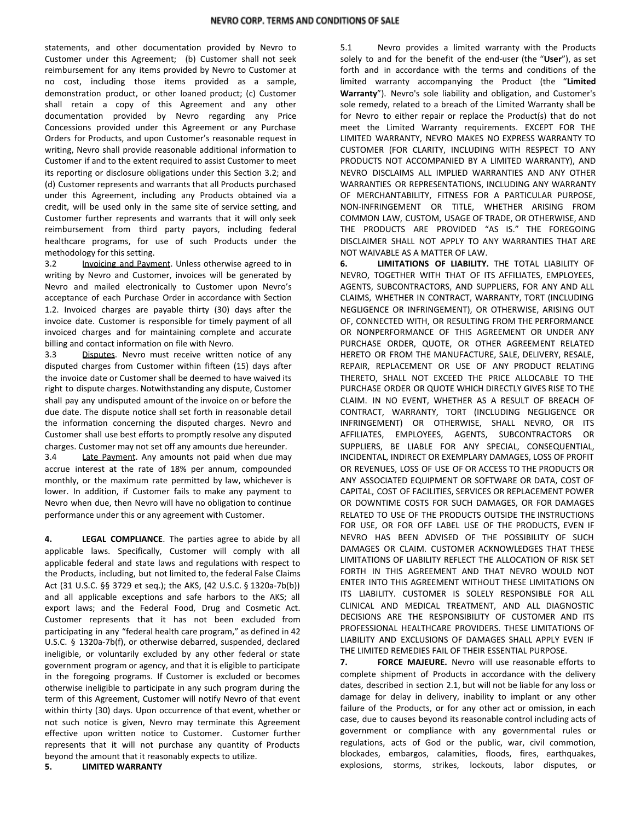statements, and other documentation provided by Nevro to Customer under this Agreement; (b) Customer shall not seek reimbursement for any items provided by Nevro to Customer at no cost, including those items provided as a sample, demonstration product, or other loaned product; (c) Customer shall retain a copy of this Agreement and any other documentation provided by Nevro regarding any Price Concessions provided under this Agreement or any Purchase Orders for Products, and upon Customer's reasonable request in writing, Nevro shall provide reasonable additional information to Customer if and to the extent required to assist Customer to meet its reporting or disclosure obligations under this Section 3.2; and (d) Customer represents and warrants that all Products purchased under this Agreement, including any Products obtained via a credit, will be used only in the same site of service setting, and Customer further represents and warrants that it will only seek reimbursement from third party payors, including federal healthcare programs, for use of such Products under the methodology for this setting.

3.2 Invoicing and Payment. Unless otherwise agreed to in writing by Nevro and Customer, invoices will be generated by Nevro and mailed electronically to Customer upon Nevro's acceptance of each Purchase Order in accordance with Section 1.2. Invoiced charges are payable thirty (30) days after the invoice date. Customer is responsible for timely payment of all invoiced charges and for maintaining complete and accurate billing and contact information on file with Nevro.

3.3 Disputes. Nevro must receive written notice of any disputed charges from Customer within fifteen (15) days after the invoice date or Customer shall be deemed to have waived its right to dispute charges. Notwithstanding any dispute, Customer shall pay any undisputed amount of the invoice on or before the due date. The dispute notice shall set forth in reasonable detail the information concerning the disputed charges. Nevro and Customer shall use best efforts to promptly resolve any disputed charges. Customer may not set off any amounts due hereunder.

3.4 Late Payment. Any amounts not paid when due may accrue interest at the rate of 18% per annum, compounded monthly, or the maximum rate permitted by law, whichever is lower. In addition, if Customer fails to make any payment to Nevro when due, then Nevro will have no obligation to continue performance under this or any agreement with Customer.

**4. LEGAL COMPLIANCE**. The parties agree to abide by all applicable laws. Specifically, Customer will comply with all applicable federal and state laws and regulations with respect to the Products, including, but not limited to, the federal False Claims Act (31 U.S.C. §§ 3729 et seq.); the AKS, (42 U.S.C. § 1320a-7b(b)) and all applicable exceptions and safe harbors to the AKS; all export laws; and the Federal Food, Drug and Cosmetic Act. Customer represents that it has not been excluded from participating in any "federal health care program," as defined in 42 U.S.C. § 1320a-7b(f), or otherwise debarred, suspended, declared ineligible, or voluntarily excluded by any other federal or state government program or agency, and that it is eligible to participate in the foregoing programs. If Customer is excluded or becomes otherwise ineligible to participate in any such program during the term of this Agreement, Customer will notify Nevro of that event within thirty (30) days. Upon occurrence of that event, whether or not such notice is given, Nevro may terminate this Agreement effective upon written notice to Customer. Customer further represents that it will not purchase any quantity of Products beyond the amount that it reasonably expects to utilize. **5. LIMITED WARRANTY**

5.1 Nevro provides a limited warranty with the Products solely to and for the benefit of the end-user (the "**User**"), as set forth and in accordance with the terms and conditions of the limited warranty accompanying the Product (the "**Limited Warranty**"). Nevro's sole liability and obligation, and Customer's sole remedy, related to a breach of the Limited Warranty shall be for Nevro to either repair or replace the Product(s) that do not meet the Limited Warranty requirements. EXCEPT FOR THE LIMITED WARRANTY, NEVRO MAKES NO EXPRESS WARRANTY TO CUSTOMER (FOR CLARITY, INCLUDING WITH RESPECT TO ANY PRODUCTS NOT ACCOMPANIED BY A LIMITED WARRANTY), AND NEVRO DISCLAIMS ALL IMPLIED WARRANTIES AND ANY OTHER WARRANTIES OR REPRESENTATIONS, INCLUDING ANY WARRANTY OF MERCHANTABILITY, FITNESS FOR A PARTICULAR PURPOSE, NON-INFRINGEMENT OR TITLE, WHETHER ARISING FROM COMMON LAW, CUSTOM, USAGE OF TRADE, OR OTHERWISE, AND THE PRODUCTS ARE PROVIDED "AS IS." THE FOREGOING DISCLAIMER SHALL NOT APPLY TO ANY WARRANTIES THAT ARE NOT WAIVABLE AS A MATTER OF LAW.

**6. LIMITATIONS OF LIABILITY.** THE TOTAL LIABILITY OF NEVRO, TOGETHER WITH THAT OF ITS AFFILIATES, EMPLOYEES, AGENTS, SUBCONTRACTORS, AND SUPPLIERS, FOR ANY AND ALL CLAIMS, WHETHER IN CONTRACT, WARRANTY, TORT (INCLUDING NEGLIGENCE OR INFRINGEMENT), OR OTHERWISE, ARISING OUT OF, CONNECTED WITH, OR RESULTING FROM THE PERFORMANCE OR NONPERFORMANCE OF THIS AGREEMENT OR UNDER ANY PURCHASE ORDER, QUOTE, OR OTHER AGREEMENT RELATED HERETO OR FROM THE MANUFACTURE, SALE, DELIVERY, RESALE, REPAIR, REPLACEMENT OR USE OF ANY PRODUCT RELATING THERETO, SHALL NOT EXCEED THE PRICE ALLOCABLE TO THE PURCHASE ORDER OR QUOTE WHICH DIRECTLY GIVES RISE TO THE CLAIM. IN NO EVENT, WHETHER AS A RESULT OF BREACH OF CONTRACT, WARRANTY, TORT (INCLUDING NEGLIGENCE OR INFRINGEMENT) OR OTHERWISE, SHALL NEVRO, OR ITS AFFILIATES, EMPLOYEES, AGENTS, SUBCONTRACTORS OR SUPPLIERS, BE LIABLE FOR ANY SPECIAL, CONSEQUENTIAL, INCIDENTAL, INDIRECT OR EXEMPLARY DAMAGES, LOSS OF PROFIT OR REVENUES, LOSS OF USE OF OR ACCESS TO THE PRODUCTS OR ANY ASSOCIATED EQUIPMENT OR SOFTWARE OR DATA, COST OF CAPITAL, COST OF FACILITIES, SERVICES OR REPLACEMENT POWER OR DOWNTIME COSTS FOR SUCH DAMAGES, OR FOR DAMAGES RELATED TO USE OF THE PRODUCTS OUTSIDE THE INSTRUCTIONS FOR USE, OR FOR OFF LABEL USE OF THE PRODUCTS, EVEN IF NEVRO HAS BEEN ADVISED OF THE POSSIBILITY OF SUCH DAMAGES OR CLAIM. CUSTOMER ACKNOWLEDGES THAT THESE LIMITATIONS OF LIABILITY REFLECT THE ALLOCATION OF RISK SET FORTH IN THIS AGREEMENT AND THAT NEVRO WOULD NOT ENTER INTO THIS AGREEMENT WITHOUT THESE LIMITATIONS ON ITS LIABILITY. CUSTOMER IS SOLELY RESPONSIBLE FOR ALL CLINICAL AND MEDICAL TREATMENT, AND ALL DIAGNOSTIC DECISIONS ARE THE RESPONSIBILITY OF CUSTOMER AND ITS PROFESSIONAL HEALTHCARE PROVIDERS. THESE LIMITATIONS OF LIABILITY AND EXCLUSIONS OF DAMAGES SHALL APPLY EVEN IF THE LIMITED REMEDIES FAIL OF THEIR ESSENTIAL PURPOSE.

**7. FORCE MAJEURE.** Nevro will use reasonable efforts to complete shipment of Products in accordance with the delivery dates, described in section 2.1, but will not be liable for any loss or damage for delay in delivery, inability to implant or any other failure of the Products, or for any other act or omission, in each case, due to causes beyond its reasonable control including acts of government or compliance with any governmental rules or regulations, acts of God or the public, war, civil commotion, blockades, embargos, calamities, floods, fires, earthquakes, explosions, storms, strikes, lockouts, labor disputes, or